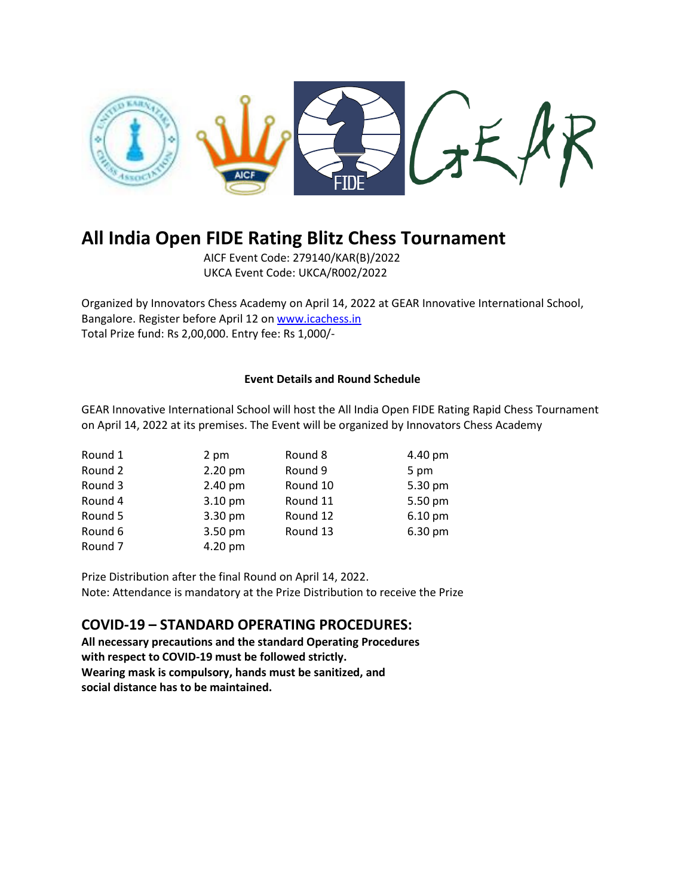

# **All India Open FIDE Rating Blitz Chess Tournament**

AICF Event Code: 279140/KAR(B)/2022 UKCA Event Code: UKCA/R002/2022

Organized by Innovators Chess Academy on April 14, 2022 at GEAR Innovative International School, Bangalore. Register before April 12 o[n www.icachess.in](http://www.icachess.in/) Total Prize fund: Rs 2,00,000. Entry fee: Rs 1,000/-

# **Event Details and Round Schedule**

GEAR Innovative International School will host the All India Open FIDE Rating Rapid Chess Tournament on April 14, 2022 at its premises. The Event will be organized by Innovators Chess Academy

| Round 1            | 2 pm    | Round 8  | 4.40 pm   |
|--------------------|---------|----------|-----------|
| Round 2            | 2.20 pm | Round 9  | 5 pm      |
| Round 3            | 2.40 pm | Round 10 | 5.30 pm   |
| Round 4            | 3.10 pm | Round 11 | 5.50 pm   |
| Round 5            | 3.30 pm | Round 12 | $6.10$ pm |
| Round 6            | 3.50 pm | Round 13 | 6.30 pm   |
| Round <sub>7</sub> | 4.20 pm |          |           |

Prize Distribution after the final Round on April 14, 2022. Note: Attendance is mandatory at the Prize Distribution to receive the Prize

# **COVID-19 – STANDARD OPERATING PROCEDURES:**

**All necessary precautions and the standard Operating Procedures with respect to COVID-19 must be followed strictly. Wearing mask is compulsory, hands must be sanitized, and social distance has to be maintained.**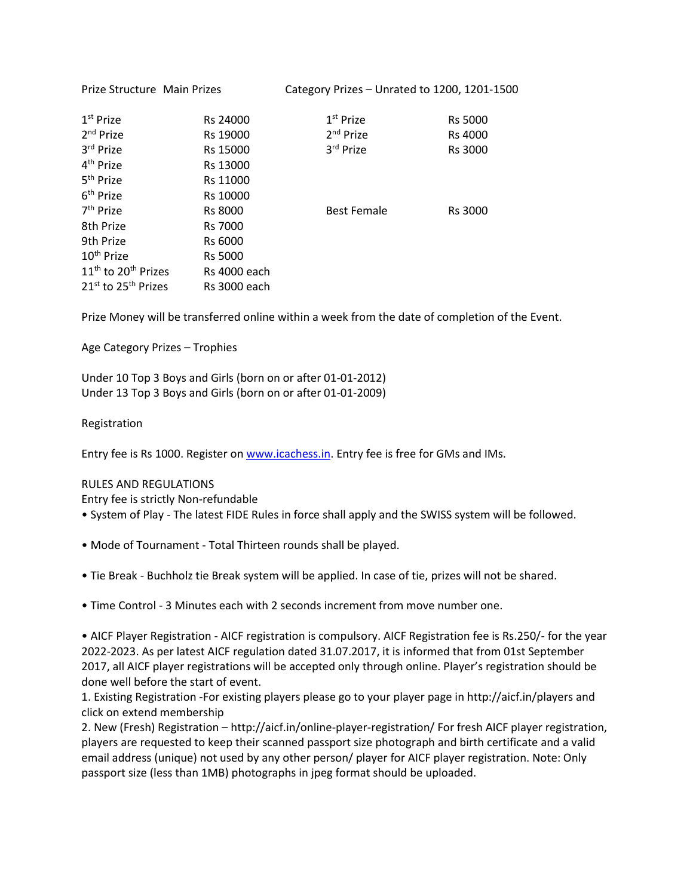| Prize Structure Main Prizes       |                     | Category Prizes – Unrated to 1200, 1201-1500 |                |
|-----------------------------------|---------------------|----------------------------------------------|----------------|
| 1 <sup>st</sup> Prize             | Rs 24000            | 1 <sup>st</sup> Prize                        | <b>Rs 5000</b> |
| 2 <sup>nd</sup> Prize             | Rs 19000            | $2nd$ Prize                                  | <b>Rs 4000</b> |
| 3rd Prize                         | Rs 15000            | 3rd Prize                                    | Rs 3000        |
| 4 <sup>th</sup> Prize             | Rs 13000            |                                              |                |
| 5 <sup>th</sup> Prize             | Rs 11000            |                                              |                |
| 6 <sup>th</sup> Prize             | Rs 10000            |                                              |                |
| 7 <sup>th</sup> Prize             | <b>Rs 8000</b>      | <b>Best Female</b>                           | Rs 3000        |
| 8th Prize                         | <b>Rs 7000</b>      |                                              |                |
| 9th Prize                         | Rs 6000             |                                              |                |
| 10 <sup>th</sup> Prize            | <b>Rs 5000</b>      |                                              |                |
| $11th$ to 20 <sup>th</sup> Prizes | <b>Rs</b> 4000 each |                                              |                |
| $21^{st}$ to $25^{th}$ Prizes     | <b>Rs</b> 3000 each |                                              |                |

Prize Money will be transferred online within a week from the date of completion of the Event.

Age Category Prizes – Trophies

Under 10 Top 3 Boys and Girls (born on or after 01-01-2012) Under 13 Top 3 Boys and Girls (born on or after 01-01-2009)

# Registration

Entry fee is Rs 1000. Register o[n www.icachess.in.](http://www.icachess.in/) Entry fee is free for GMs and IMs.

# RULES AND REGULATIONS

Entry fee is strictly Non-refundable

- System of Play The latest FIDE Rules in force shall apply and the SWISS system will be followed.
- Mode of Tournament Total Thirteen rounds shall be played.
- Tie Break Buchholz tie Break system will be applied. In case of tie, prizes will not be shared.
- Time Control 3 Minutes each with 2 seconds increment from move number one.

• AICF Player Registration - AICF registration is compulsory. AICF Registration fee is Rs.250/- for the year 2022-2023. As per latest AICF regulation dated 31.07.2017, it is informed that from 01st September 2017, all AICF player registrations will be accepted only through online. Player's registration should be done well before the start of event.

1. Existing Registration -For existing players please go to your player page in http://aicf.in/players and click on extend membership

2. New (Fresh) Registration – http://aicf.in/online-player-registration/ For fresh AICF player registration, players are requested to keep their scanned passport size photograph and birth certificate and a valid email address (unique) not used by any other person/ player for AICF player registration. Note: Only passport size (less than 1MB) photographs in jpeg format should be uploaded.